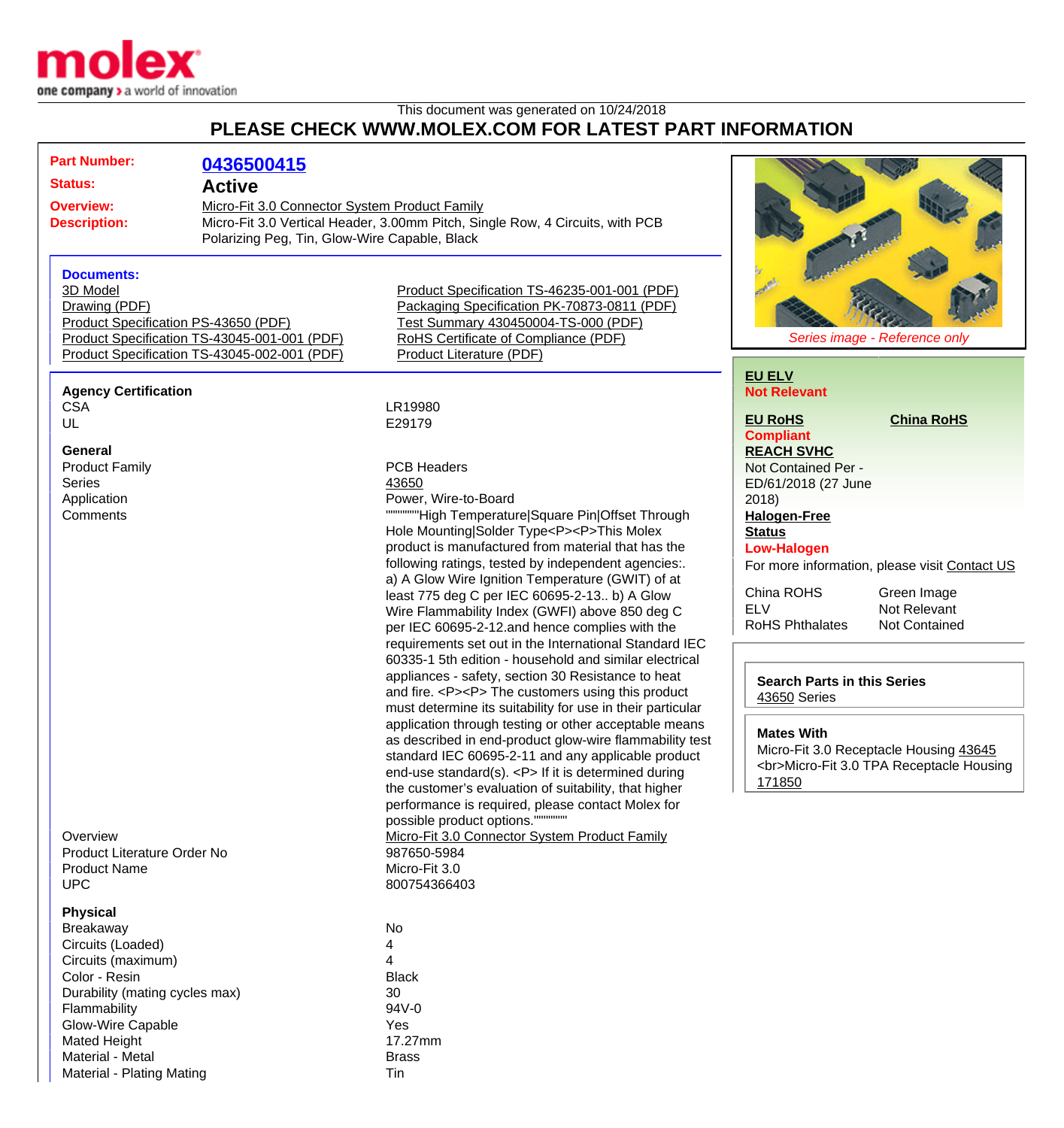

## This document was generated on 10/24/2018 **PLEASE CHECK WWW.MOLEX.COM FOR LATEST PART INFORMATION**

| <b>Part Number:</b>                          | 0436500415                                    |                                                                                                                  |                                                         |
|----------------------------------------------|-----------------------------------------------|------------------------------------------------------------------------------------------------------------------|---------------------------------------------------------|
| <b>Status:</b><br><b>Active</b>              |                                               |                                                                                                                  |                                                         |
| <b>Overview:</b>                             | Micro-Fit 3.0 Connector System Product Family |                                                                                                                  |                                                         |
| <b>Description:</b>                          | Polarizing Peg, Tin, Glow-Wire Capable, Black | Micro-Fit 3.0 Vertical Header, 3.00mm Pitch, Single Row, 4 Circuits, with PCB                                    |                                                         |
| <b>Documents:</b>                            |                                               |                                                                                                                  |                                                         |
| 3D Model                                     |                                               | Product Specification TS-46235-001-001 (PDF)                                                                     |                                                         |
| Drawing (PDF)                                |                                               | Packaging Specification PK-70873-0811 (PDF)                                                                      |                                                         |
| Product Specification PS-43650 (PDF)         |                                               | Test Summary 430450004-TS-000 (PDF)                                                                              |                                                         |
| Product Specification TS-43045-001-001 (PDF) |                                               | RoHS Certificate of Compliance (PDF)                                                                             | Series image - Reference only                           |
|                                              | Product Specification TS-43045-002-001 (PDF)  | <b>Product Literature (PDF)</b>                                                                                  |                                                         |
|                                              |                                               |                                                                                                                  | <b>EU ELV</b>                                           |
| <b>Agency Certification</b><br><b>CSA</b>    |                                               | LR19980                                                                                                          | <b>Not Relevant</b>                                     |
| UL                                           |                                               | E29179                                                                                                           | <b>EU RoHS</b><br><b>China RoHS</b>                     |
|                                              |                                               |                                                                                                                  | <b>Compliant</b>                                        |
| General                                      |                                               |                                                                                                                  | <b>REACH SVHC</b>                                       |
| <b>Product Family</b>                        |                                               | <b>PCB Headers</b>                                                                                               | Not Contained Per -                                     |
| <b>Series</b>                                |                                               | 43650                                                                                                            | ED/61/2018 (27 June                                     |
| Application                                  |                                               | Power, Wire-to-Board                                                                                             | 2018                                                    |
| Comments                                     |                                               | """"""High Temperature Square Pin Offset Through                                                                 | <b>Halogen-Free</b>                                     |
|                                              |                                               | Hole Mounting Solder Type <p><p>This Molex</p></p>                                                               | <b>Status</b>                                           |
|                                              |                                               | product is manufactured from material that has the                                                               | <b>Low-Halogen</b>                                      |
|                                              |                                               | following ratings, tested by independent agencies:.                                                              | For more information, please visit Contact US           |
|                                              |                                               | a) A Glow Wire Ignition Temperature (GWIT) of at                                                                 |                                                         |
|                                              |                                               | least 775 deg C per IEC 60695-2-13 b) A Glow                                                                     | China ROHS<br>Green Image<br><b>ELV</b><br>Not Relevant |
|                                              |                                               | Wire Flammability Index (GWFI) above 850 deg C                                                                   | <b>RoHS Phthalates</b><br><b>Not Contained</b>          |
|                                              |                                               | per IEC 60695-2-12.and hence complies with the                                                                   |                                                         |
|                                              |                                               | requirements set out in the International Standard IEC<br>60335-1 5th edition - household and similar electrical |                                                         |
|                                              |                                               | appliances - safety, section 30 Resistance to heat                                                               |                                                         |
|                                              |                                               | and fire. <p><p> The customers using this product</p></p>                                                        | <b>Search Parts in this Series</b>                      |
|                                              |                                               | must determine its suitability for use in their particular                                                       | 43650 Series                                            |
|                                              |                                               | application through testing or other acceptable means                                                            |                                                         |
|                                              |                                               | as described in end-product glow-wire flammability test                                                          | <b>Mates With</b>                                       |
|                                              |                                               | standard IEC 60695-2-11 and any applicable product                                                               | Micro-Fit 3.0 Receptacle Housing 43645                  |
|                                              |                                               | end-use standard(s). <p> If it is determined during</p>                                                          | <br>Micro-Fit 3.0 TPA Receptacle Housing                |
|                                              |                                               | the customer's evaluation of suitability, that higher                                                            | 171850                                                  |
|                                              |                                               | performance is required, please contact Molex for                                                                |                                                         |
|                                              |                                               | possible product options."                                                                                       |                                                         |
| Overview                                     |                                               | Micro-Fit 3.0 Connector System Product Family                                                                    |                                                         |
| Product Literature Order No                  |                                               | 987650-5984                                                                                                      |                                                         |
| <b>Product Name</b>                          |                                               | Micro-Fit 3.0                                                                                                    |                                                         |
| <b>UPC</b>                                   |                                               | 800754366403                                                                                                     |                                                         |
| <b>Physical</b>                              |                                               |                                                                                                                  |                                                         |
| <b>Breakaway</b>                             |                                               | No                                                                                                               |                                                         |
| Circuits (Loaded)                            |                                               | 4                                                                                                                |                                                         |
| Circuits (maximum)                           |                                               | 4                                                                                                                |                                                         |
| Color - Resin                                |                                               | <b>Black</b>                                                                                                     |                                                         |
| Durability (mating cycles max)               |                                               | 30                                                                                                               |                                                         |
| Flammability                                 |                                               | 94V-0                                                                                                            |                                                         |
| <b>Glow-Wire Capable</b>                     |                                               | Yes                                                                                                              |                                                         |
| <b>Mated Height</b>                          |                                               | 17.27mm                                                                                                          |                                                         |
| Material - Metal                             |                                               | <b>Brass</b>                                                                                                     |                                                         |
| Material - Plating Mating                    |                                               | Tin                                                                                                              |                                                         |